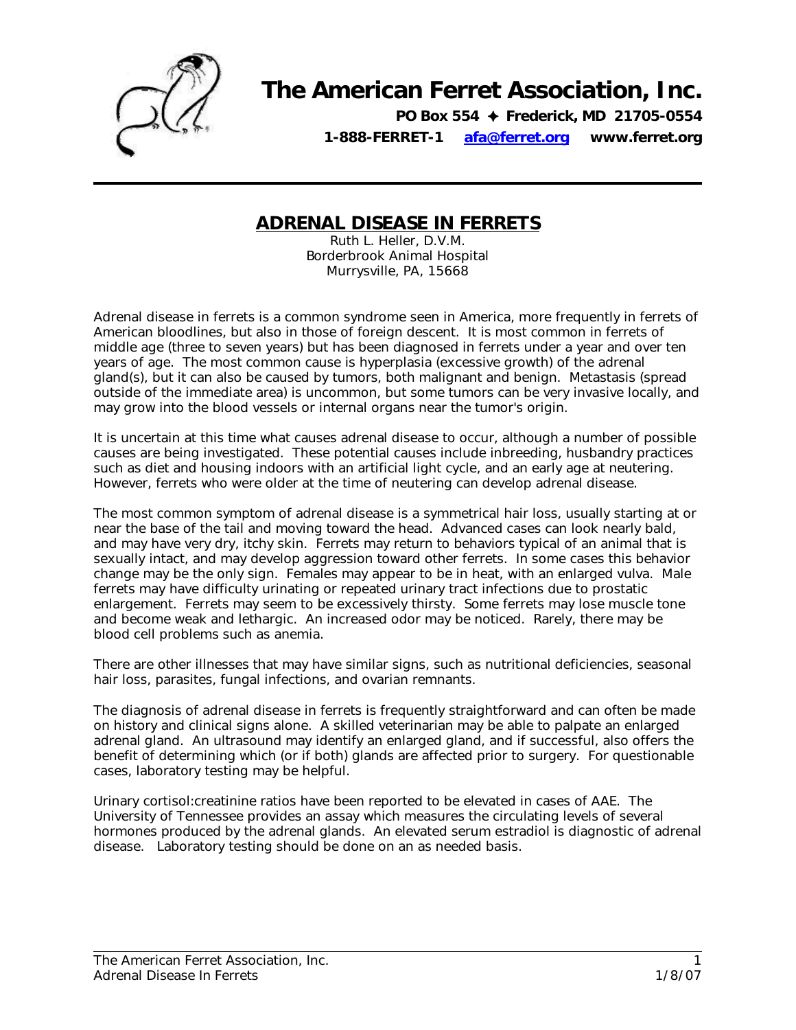

## **The American Ferret Association, Inc.**

**PO Box 554** ✦ **Frederick, MD 21705-0554 1-888-FERRET-1 afa@ferret.org www.ferret.org** 

## **ADRENAL DISEASE IN FERRETS**

Ruth L. Heller, D.V.M. Borderbrook Animal Hospital Murrysville, PA, 15668

Adrenal disease in ferrets is a common syndrome seen in America, more frequently in ferrets of American bloodlines, but also in those of foreign descent. It is most common in ferrets of middle age (three to seven years) but has been diagnosed in ferrets under a year and over ten years of age. The most common cause is hyperplasia (excessive growth) of the adrenal gland(s), but it can also be caused by tumors, both malignant and benign. Metastasis (spread outside of the immediate area) is uncommon, but some tumors can be very invasive locally, and may grow into the blood vessels or internal organs near the tumor's origin.

It is uncertain at this time what causes adrenal disease to occur, although a number of possible causes are being investigated. These potential causes include inbreeding, husbandry practices such as diet and housing indoors with an artificial light cycle, and an early age at neutering. However, ferrets who were older at the time of neutering can develop adrenal disease.

The most common symptom of adrenal disease is a symmetrical hair loss, usually starting at or near the base of the tail and moving toward the head. Advanced cases can look nearly bald, and may have very dry, itchy skin. Ferrets may return to behaviors typical of an animal that is sexually intact, and may develop aggression toward other ferrets. In some cases this behavior change may be the only sign. Females may appear to be in heat, with an enlarged vulva. Male ferrets may have difficulty urinating or repeated urinary tract infections due to prostatic enlargement. Ferrets may seem to be excessively thirsty. Some ferrets may lose muscle tone and become weak and lethargic. An increased odor may be noticed. Rarely, there may be blood cell problems such as anemia.

There are other illnesses that may have similar signs, such as nutritional deficiencies, seasonal hair loss, parasites, fungal infections, and ovarian remnants.

The diagnosis of adrenal disease in ferrets is frequently straightforward and can often be made on history and clinical signs alone. A skilled veterinarian may be able to palpate an enlarged adrenal gland. An ultrasound may identify an enlarged gland, and if successful, also offers the benefit of determining which (or if both) glands are affected prior to surgery. For questionable cases, laboratory testing may be helpful.

Urinary cortisol:creatinine ratios have been reported to be elevated in cases of AAE. The University of Tennessee provides an assay which measures the circulating levels of several hormones produced by the adrenal glands. An elevated serum estradiol is diagnostic of adrenal disease. Laboratory testing should be done on an as needed basis.